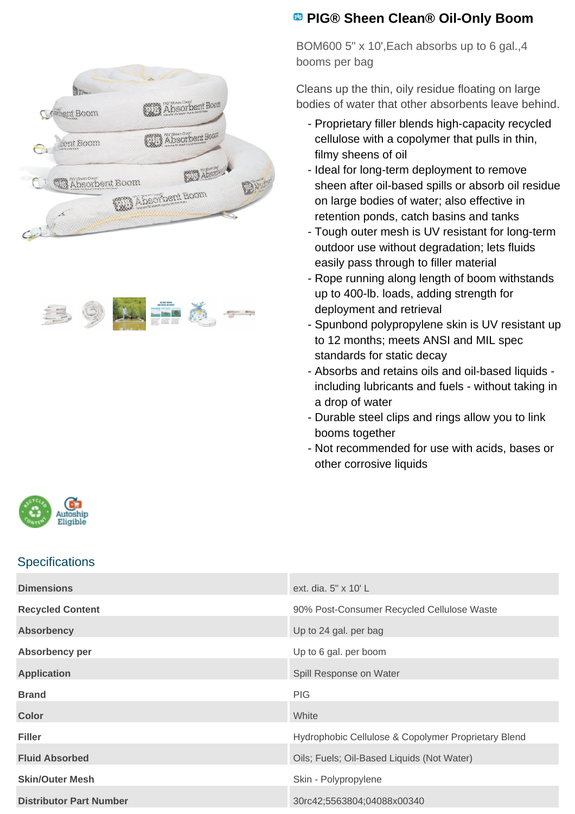



## **PIG® Sheen Clean® Oil-Only Boom**

BOM600 5" x 10',Each absorbs up to 6 gal.,4 booms per bag

Cleans up the thin, oily residue floating on large bodies of water that other absorbents leave behind.

- Proprietary filler blends high-capacity recycled cellulose with a copolymer that pulls in thin, filmy sheens of oil
- Ideal for long-term deployment to remove sheen after oil-based spills or absorb oil residue on large bodies of water; also effective in retention ponds, catch basins and tanks
- Tough outer mesh is UV resistant for long-term outdoor use without degradation; lets fluids easily pass through to filler material
- Rope running along length of boom withstands up to 400-lb. loads, adding strength for deployment and retrieval
- Spunbond polypropylene skin is UV resistant up to 12 months; meets ANSI and MIL spec standards for static decay
- Absorbs and retains oils and oil-based liquids including lubricants and fuels - without taking in a drop of water
- Durable steel clips and rings allow you to link booms together
- Not recommended for use with acids, bases or other corrosive liquids



## **Specifications**

| <b>Dimensions</b>              | ext. dia. $5" \times 10' L$                         |
|--------------------------------|-----------------------------------------------------|
| <b>Recycled Content</b>        | 90% Post-Consumer Recycled Cellulose Waste          |
| <b>Absorbency</b>              | Up to 24 gal. per bag                               |
| Absorbency per                 | Up to 6 gal. per boom                               |
| <b>Application</b>             | Spill Response on Water                             |
| <b>Brand</b>                   | <b>PIG</b>                                          |
| Color                          | White                                               |
| <b>Filler</b>                  | Hydrophobic Cellulose & Copolymer Proprietary Blend |
| <b>Fluid Absorbed</b>          | Oils; Fuels; Oil-Based Liquids (Not Water)          |
| <b>Skin/Outer Mesh</b>         | Skin - Polypropylene                                |
| <b>Distributor Part Number</b> | 30rc42;5563804;04088x00340                          |